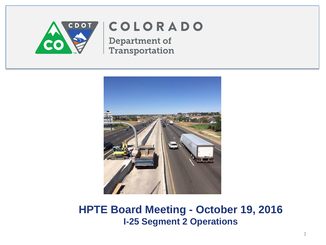

## COLORADO

**Department of** Transportation



**HPTE Board Meeting - October 19, 2016 I-25 Segment 2 Operations**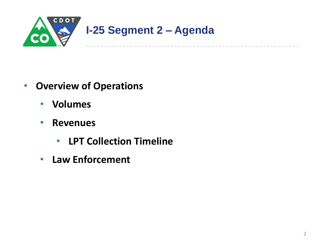

- **Overview of Operations**
	- **Volumes**
	- **Revenues**
		- **LPT Collection Timeline**
	- **Law Enforcement**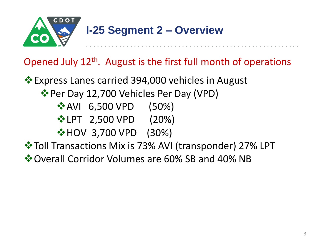

#### Opened July 12th. August is the first full month of operations

**Express Lanes carried 394,000 vehicles in August** Per Day 12,700 Vehicles Per Day (VPD) **❖ AVI 6,500 VPD (50%) V**• LPT 2,500 VPD (20%) **☆ HOV 3,700 VPD (30%)**  $\cdot$  **Toll Transactions Mix is 73% AVI (transponder) 27% LPT** Overall Corridor Volumes are 60% SB and 40% NB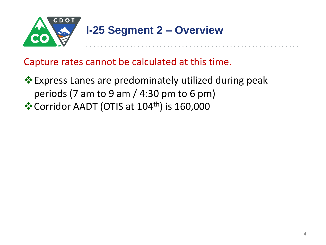

Capture rates cannot be calculated at this time.

Express Lanes are predominately utilized during peak periods (7 am to 9 am / 4:30 pm to 6 pm) ❖ Corridor AADT (OTIS at 104<sup>th</sup>) is 160,000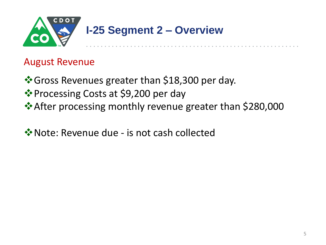

#### August Revenue

- ❖ Gross Revenues greater than \$18,300 per day.
- ❖ Processing Costs at \$9,200 per day
- **After processing monthly revenue greater than \$280,000** →
- **V** Note: Revenue due is not cash collected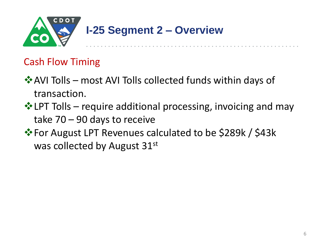

#### Cash Flow Timing

- $\cdot$  **AVI Tolls most AVI Tolls collected funds within days of** transaction.
- $\triangle$  LPT Tolls require additional processing, invoicing and may take 70 – 90 days to receive
- For August LPT Revenues calculated to be \$289k / \$43k was collected by August 31st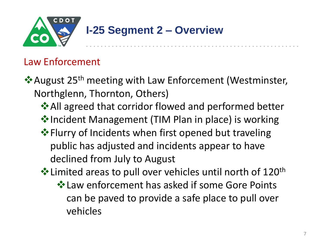

### **I-25 Segment 2 – Overview**

#### Law Enforcement

- ❖ August 25<sup>th</sup> meeting with Law Enforcement (Westminster, Northglenn, Thornton, Others)
	- **☆ All agreed that corridor flowed and performed better**
	- ◆Incident Management (TIM Plan in place) is working
	- $\triangle$  **Flurry of Incidents when first opened but traveling** public has adjusted and incidents appear to have declined from July to August
	- $\cdot$  Limited areas to pull over vehicles until north of 120<sup>th</sup>
		- Law enforcement has asked if some Gore Points can be paved to provide a safe place to pull over vehicles